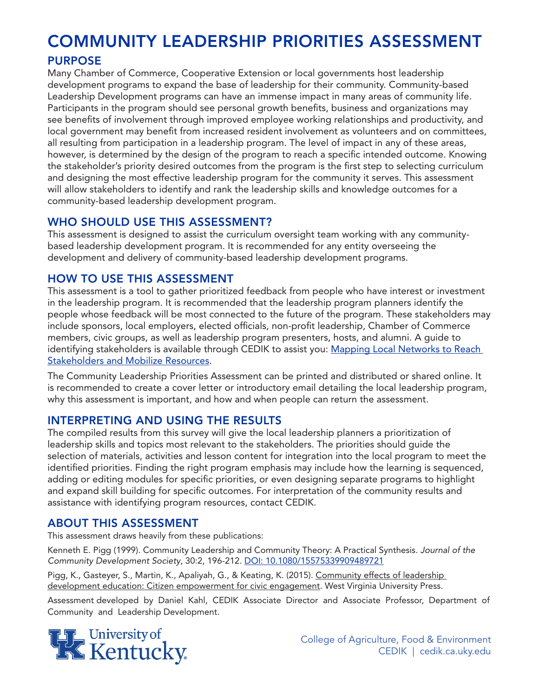# COMMUNITY LEADERSHIP PRIORITIES ASSESSMENT

# PURPOSE

Many Chamber of Commerce, Cooperative Extension or local governments host leadership development programs to expand the base of leadership for their community. Community-based Leadership Development programs can have an immense impact in many areas of community life. Participants in the program should see personal growth benefits, business and organizations may see benefits of involvement through improved employee working relationships and productivity, and local government may benefit from increased resident involvement as volunteers and on committees, all resulting from participation in a leadership program. The level of impact in any of these areas, however, is determined by the design of the program to reach a specific intended outcome. Knowing the stakeholder's priority desired outcomes from the program is the first step to selecting curriculum and designing the most effective leadership program for the community it serves. This assessment will allow stakeholders to identify and rank the leadership skills and knowledge outcomes for a community-based leadership development program.

## WHO SHOULD USE THIS ASSESSMENT?

This assessment is designed to assist the curriculum oversight team working with any communitybased leadership development program. It is recommended for any entity overseeing the development and delivery of community-based leadership development programs.

### HOW TO USE THIS ASSESSMENT

This assessment is a tool to gather prioritized feedback from people who have interest or investment in the leadership program. It is recommended that the leadership program planners identify the people whose feedback will be most connected to the future of the program. These stakeholders may include sponsors, local employers, elected officials, non-profit leadership, Chamber of Commerce members, civic groups, as well as leadership program presenters, hosts, and alumni. A guide to identifying stakeholders is available through CEDIK to assist you: Mapping Local Networks to Reach Stakeholders and Mobilize Resources.

The Community Leadership Priorities Assessment can be printed and distributed or shared online. It is recommended to create a cover letter or introductory email detailing the local leadership program, why this assessment is important, and how and when people can return the assessment.

### INTERPRETING AND USING THE RESULTS

The compiled results from this survey will give the local leadership planners a prioritization of leadership skills and topics most relevant to the stakeholders. The priorities should guide the selection of materials, activities and lesson content for integration into the local program to meet the identified priorities. Finding the right program emphasis may include how the learning is sequenced, adding or editing modules for specific priorities, or even designing separate programs to highlight and expand skill building for specific outcomes. For interpretation of the community results and assistance with identifying program resources, contact CEDIK.

# ABOUT THIS ASSESSMENT

This assessment draws heavily from these publications:

Kenneth E. Pigg (1999). Community Leadership and Community Theory: A Practical Synthesis. *Journal of the Community Development Society*, 30:2, 196-212. DOI: 10.1080/15575339909489721

Pigg, K., Gasteyer, S., Martin, K., Apaliyah, G., & Keating, K. (2015). Community effects of leadership development education: Citizen empowerment for civic engagement. West Virginia University Press.

Assessment developed by Daniel Kahl, CEDIK Associate Director and Associate Professor, Department of Community and Leadership Development.



College of Agriculture, Food & Environment CEDIK | cedik.ca.uky.edu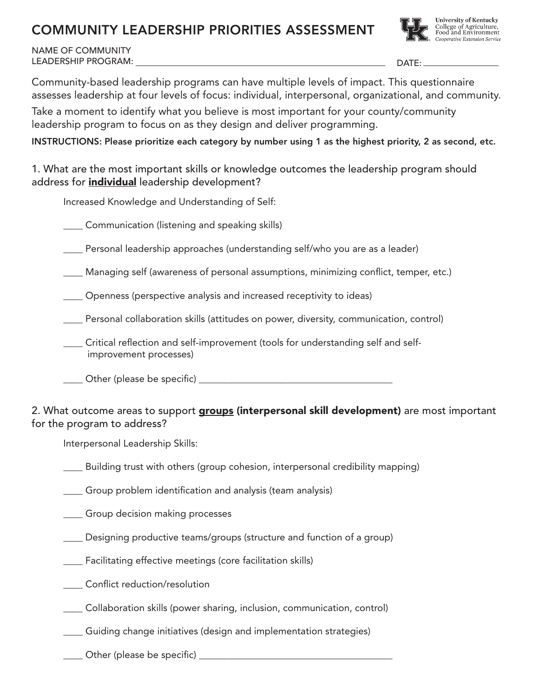# COMMUNITY LEADERSHIP PRIORITIES ASSESSMENT



NAME OF COMMUNITY LEADERSHIP PROGRAM:

DATE:

Community-based leadership programs can have multiple levels of impact. This questionnaire assesses leadership at four levels of focus: individual, interpersonal, organizational, and community.

Take a moment to identify what you believe is most important for your county/community leadership program to focus on as they design and deliver programming.

INSTRUCTIONS: Please prioritize each category by number using 1 as the highest priority, 2 as second, etc.

1. What are the most important skills or knowledge outcomes the leadership program should address for *individual* leadership development?

Increased Knowledge and Understanding of Self:

\_\_\_\_ Communication (listening and speaking skills)

\_\_\_\_ Personal leadership approaches (understanding self/who you are as a leader)

Managing self (awareness of personal assumptions, minimizing conflict, temper, etc.)

\_\_\_\_ Openness (perspective analysis and increased receptivity to ideas)

\_\_\_\_ Personal collaboration skills (attitudes on power, diversity, communication, control)

\_\_\_\_ Critical reflection and self-improvement (tools for understanding self and self improvement processes)

\_\_\_\_ Other (please be specific) \_\_\_\_\_\_\_\_\_\_\_\_\_\_\_\_\_\_\_\_\_\_\_\_\_\_\_\_\_\_\_\_\_\_\_\_\_\_\_\_

### 2. What outcome areas to support **groups (interpersonal skill development)** are most important for the program to address?

Interpersonal Leadership Skills:

\_\_\_\_ Building trust with others (group cohesion, interpersonal credibility mapping)

\_\_\_\_ Group problem identification and analysis (team analysis)

\_\_\_\_ Group decision making processes

\_\_\_\_ Designing productive teams/groups (structure and function of a group)

\_\_\_\_ Facilitating effective meetings (core facilitation skills)

\_\_\_\_ Conflict reduction/resolution

\_\_\_\_ Collaboration skills (power sharing, inclusion, communication, control)

\_\_\_\_ Guiding change initiatives (design and implementation strategies)

\_\_\_\_ Other (please be specific) \_\_\_\_\_\_\_\_\_\_\_\_\_\_\_\_\_\_\_\_\_\_\_\_\_\_\_\_\_\_\_\_\_\_\_\_\_\_\_\_